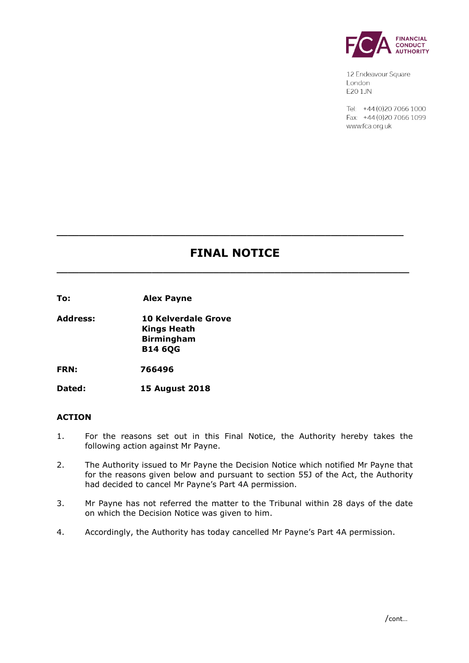

12 Endeavour Square London E201JN

Tel: +44 (0) 20 7066 1000 Fax: +44 (0) 20 7066 1099 www.fca.org.uk

# **FINAL NOTICE**

**\_\_\_\_\_\_\_\_\_\_\_\_\_\_\_\_\_\_\_\_\_\_\_\_\_\_\_\_\_\_\_\_\_\_\_\_\_\_\_\_\_\_\_\_\_\_\_\_\_\_\_\_\_\_\_\_\_\_\_\_\_\_\_**

**\_\_\_\_\_\_\_\_\_\_\_\_\_\_\_\_\_\_\_\_\_\_\_\_\_\_\_\_\_\_\_\_\_\_\_\_\_\_\_\_\_\_\_\_\_\_\_\_\_\_\_\_\_\_\_\_\_\_\_\_\_\_**

**To: Alex Payne** 

**Address: 10 Kelverdale Grove Kings Heath Birmingham B14 6QG**

**FRN: 766496**

**Dated: 15 August 2018**

# **ACTION**

- 1. For the reasons set out in this Final Notice, the Authority hereby takes the following action against Mr Payne.
- 2. The Authority issued to Mr Payne the Decision Notice which notified Mr Payne that for the reasons given below and pursuant to section 55J of the Act, the Authority had decided to cancel Mr Payne's Part 4A permission.
- 3. Mr Payne has not referred the matter to the Tribunal within 28 days of the date on which the Decision Notice was given to him.
- 4. Accordingly, the Authority has today cancelled Mr Payne's Part 4A permission.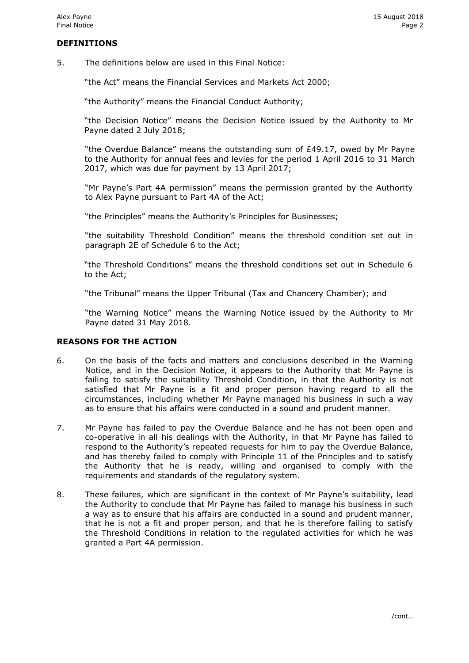# **DEFINITIONS**

5. The definitions below are used in this Final Notice:

"the Act" means the Financial Services and Markets Act 2000;

"the Authority" means the Financial Conduct Authority;

"the Decision Notice" means the Decision Notice issued by the Authority to Mr Payne dated 2 July 2018;

"the Overdue Balance" means the outstanding sum of £49.17, owed by Mr Payne to the Authority for annual fees and levies for the period 1 April 2016 to 31 March 2017, which was due for payment by 13 April 2017;

"Mr Payne's Part 4A permission" means the permission granted by the Authority to Alex Payne pursuant to Part 4A of the Act;

"the Principles" means the Authority's Principles for Businesses;

"the suitability Threshold Condition" means the threshold condition set out in paragraph 2E of Schedule 6 to the Act;

"the Threshold Conditions" means the threshold conditions set out in Schedule 6 to the Act;

"the Tribunal" means the Upper Tribunal (Tax and Chancery Chamber); and

"the Warning Notice" means the Warning Notice issued by the Authority to Mr Payne dated 31 May 2018.

# **REASONS FOR THE ACTION**

- 6. On the basis of the facts and matters and conclusions described in the Warning Notice, and in the Decision Notice, it appears to the Authority that Mr Payne is failing to satisfy the suitability Threshold Condition, in that the Authority is not satisfied that Mr Payne is a fit and proper person having regard to all the circumstances, including whether Mr Payne managed his business in such a way as to ensure that his affairs were conducted in a sound and prudent manner.
- 7. Mr Payne has failed to pay the Overdue Balance and he has not been open and co-operative in all his dealings with the Authority, in that Mr Payne has failed to respond to the Authority's repeated requests for him to pay the Overdue Balance, and has thereby failed to comply with Principle 11 of the Principles and to satisfy the Authority that he is ready, willing and organised to comply with the requirements and standards of the regulatory system.
- 8. These failures, which are significant in the context of Mr Payne's suitability, lead the Authority to conclude that Mr Payne has failed to manage his business in such a way as to ensure that his affairs are conducted in a sound and prudent manner, that he is not a fit and proper person, and that he is therefore failing to satisfy the Threshold Conditions in relation to the regulated activities for which he was granted a Part 4A permission.